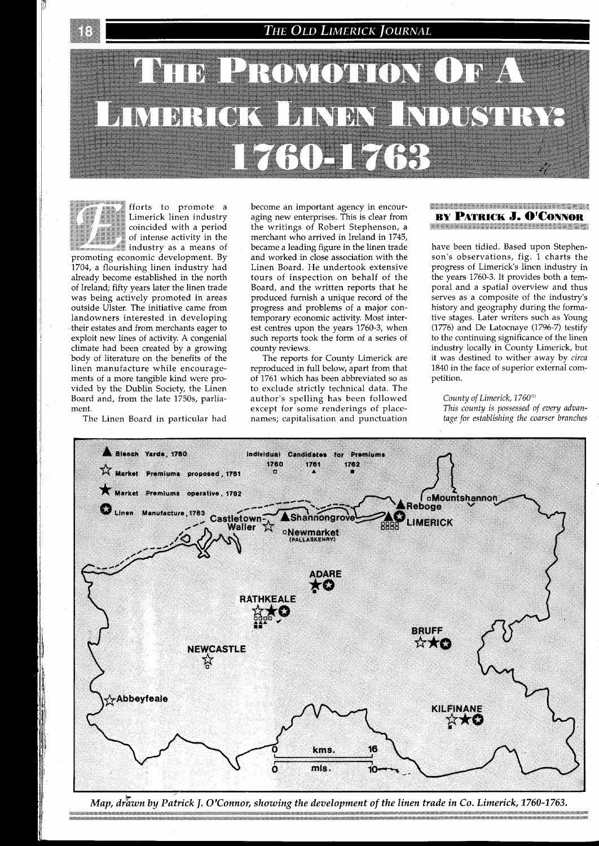# **THE OLD LIMERICK JOURNAL**





fforts to promote a<br>Limerick linen industry  $\frac{1}{\sqrt{2}}$  coincided with a period  $\frac{1}{\sqrt{2}}$  of intense activity in the Limerick linen industry<br>
coincided with a period<br>
of intense activity in the<br>
industry as a means of of intense activity in the<br>industry as a means of

promoting economic development. By 1704, a flourishing linen industry had already become established in the north of Ireland; fifty years later the linen trade was being actively promoted in areas outside Ulster. The initiative came from landowners interested in developing their estates and from merchants eager to exploit new lines of activity. A congenial climate had been created by a growing body of literature on the benefits of the linen manufacture while encouragements of a more tangible kind were provided by the Dublin Society, the Linen Board and, from the late 1750s, parliament.

The Linen Board in particular had

become an important agency in encouraging new enterprises. This is clear from the writings of Robert Stephenson, a merchant who arrived in Ireland in 1745, became a leading figure in the linen trade and worked in close association with the Linen Board. He undertook extensive tours of inspection on behalf of the Board, and the written reports that he produced furnish a unique record of the progress and problems of a major contemporary economic activity. Most interest centres upon the years 1760-3, when such reports took the form of a series of county reviews.

The reports for County Limerick are reproduced in full below, apart from that of 1761 which has been abbreviated so as to exclude strictly technical data. The author's spelling has been followed except for some renderings of placenames; capitalisation and punctuation

#### **BEAR AND MOVED AND ALL AND DESCRIPTION BY PATRICK J. O'CONNOR**

have been tidied. Based upon Stephenson's observations, fig. 1 charts the progress of Limerick's linen industry in the years 1760-3. It provides both a temporal and a spdtial overview and thus serves as a composite of the industry's history and geography during the formative stages. Later writers such as Young (1776) and De Latocnaye (1796-7) testify to the continuing significance of the linen industry locally in County Limerick, but it was destined to wither away by *circa*  1840 in the face of superior external competition.

*County of Limerick, 1760"' This county is possessed of every advantage for establishing the coarser branches* 



Map, drawn by Patrick J. O'Connor, showing the development of the linen trade in Co. Limerick, 1760-1763.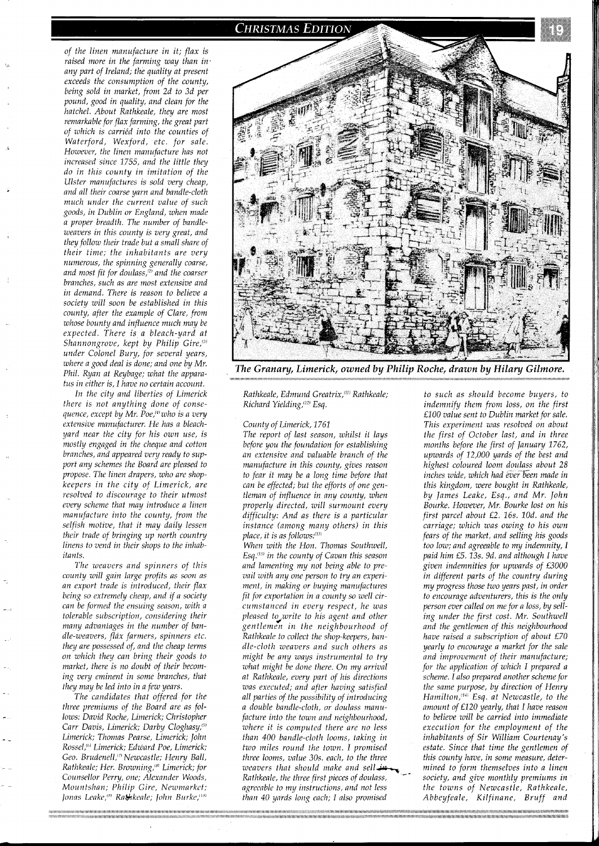

*In the city and liberties of Limerick there is not anything done of consequence, except by Mr. Poe,<sup>(4)</sup> who is a very extensive manufacturer. He has a bleachyard near the city for his own use, is mostly engaged in the cheque and cotton branches, and appeared very ready to support any schemes the Board are pleased to propose. The linen drapers, who are shopkeepers in the city of Limerick, are resolved to discourage to their utmost every scheme that may introduce a linen manufacture into the county, from the selfish motive, that it may daily lessen their trade of bringing up north country linens to vend in their shops to the inhabitants.* 

*The weavers and spinners of this county will gain large profits as soon as an export trade is introduced, their flax being so extremely cheap, and if a society can be formed the ensuing season, with a tolerable subscription, considering their many advantages in the number of bandle-weavers, flax farmers, spinners etc. they are possessed of, and the cheap terms on which they can bring their goods to market. there is no doubt of their becoming very eminent in some branches, that they may be led into in a few years.* 

*The candidates that offered for the three premiums of the Board are as follows: David Roche, Limerick; Chrisfopher*  Carr Davis, Limerick; Darby Cloghasy,<sup>(5)</sup> *Limerick; Thomas Pearse, Limerick; John Rossel,'"' Limerick; Edward Poe, Limerick; Geo. Brudenell,"' Newcastle; Henry Ball, Rathkeale; Her. Browning,'"' Limerick; for Counsellor Perry, one; Alexander Woods, Mountshan; Philip Gire, Newmarket; Ionas Lcnke,"" Ra&kcalc; /okn Burke,""'* 



The Granary, Limerick, owned by Philip Roche, drawn by Hilary Gilmore.

*Rathkeale, Edmund Greatrix,"" Rathkeale; Richard Yielding,"2' Esq.* 

*County of Limerick, 1761* 

*The report of last season, whilst it lays before you the foundation for establishing an extensive and valuable branch of the manufacture in this county, gives reason to fear it may be a long time before that can be effected; but the efforts of one gentleman of influence in any county, when properly directed, will surmount every difficulty: And as there is a particular instance (among many others) in this place, it is as follows:*<sup>(13)</sup>

*When with the Hon. Thomas Southwell, Esq."" in the county of Cavan this season and lamenting my not being able to prevail with any one person to try an experiment, in making or buying manufactures fit for exportation in a county so well circumstanced in every respect, he was pleased to,write to his agent and other gentlemen in the neighbourhood of Rathkeale to collect the shop-keepers, bandle-cloth weavers and such others as might be any ways instrumental to try what might be done there. On my arrival at Rathkeale, every part of his directions was executed; and after having satisfied all parties of the possibility of introducing a double bundle-cloth, or doulass manufacture into the town and neighbourhood, where it is computed there are no less than 400 bundle-cloth looms, taking in two miles round the town. I promised three looms, value 30s. eack, to the three*  weavers that should make and sell  $\overline{u}$ *Rathkeale, the three first pieces of doulass,*  $\overline{\phantom{a}}$  *society, and give monthly premiums in agreeable to my instructions, and not less* the *towns of Newcastle, Rathkeale, than 40 yards long each; I also promised Abbeyfeale, Kilfinane, Bruff and* 

*to such as should become buyers, to indemnify them from loss, on the first £100 value sent to Dublin market for sale. This experiment was resolved on about the first of October last, and in three months before the first of January 1762, upwards of 12,000 yards of the best and months before the first of January 1762,*<br>*upwards of 12,000 yards of the best and<br>highest coloured loom doulass about 28*<br>*inches wide, which had éver been made in inches wide, which had ever been made in this kingdom, were bought in Rathkeale, by James Leake, Esq., and Mr. John Bourke. However, Mr. Bourke lost on his first parcel about £2. 16s. 10d. and the carriage; which was owing to his own fears of the market, and selling his goods too low; and agreeable to my indemnity, I paid him £5. 13s. 9d. and although I have given indemnities for upwards of £3000 in different parts of the country during my progress those two years past, in order to encourage adventurers, this is the only person ever called on me for a loss, by selling under the first cost. Mr. Southwell and the gentlemen of this neighbourhood have raised a subscription of about £70 yearly to encourage a market for the sale and improvement of their manufacture; for the application of which I prepared a scheme. I also prepared another scheme for the same purpose, by direction of Henry Hamilton,"" Esq. at Newcastle, to the amount of £120 yearly, that I have reason to believe will be carvied into immediate execution for the employment of the inhabitants of Sir William Courtenay's estate. Since that time the gentlemen of* this county have, in some measure, deter*mined to form themselves into a linen*  the towns of Newcastle, Rathkeale,